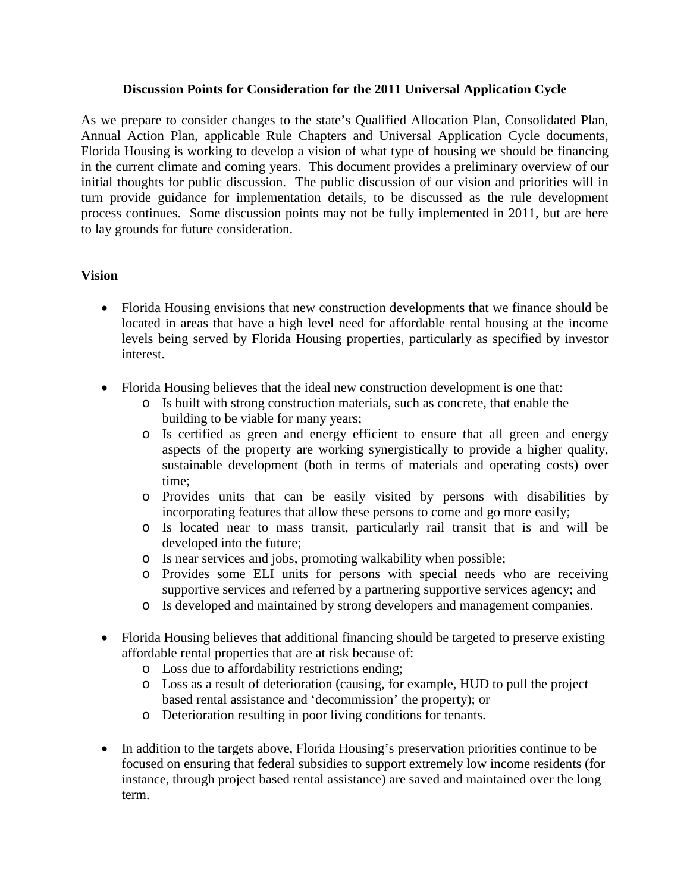#### **Discussion Points for Consideration for the 2011 Universal Application Cycle**

As we prepare to consider changes to the state's Qualified Allocation Plan, Consolidated Plan, Annual Action Plan, applicable Rule Chapters and Universal Application Cycle documents, Florida Housing is working to develop a vision of what type of housing we should be financing in the current climate and coming years. This document provides a preliminary overview of our initial thoughts for public discussion. The public discussion of our vision and priorities will in turn provide guidance for implementation details, to be discussed as the rule development process continues. Some discussion points may not be fully implemented in 2011, but are here to lay grounds for future consideration.

#### **Vision**

- Florida Housing envisions that new construction developments that we finance should be located in areas that have a high level need for affordable rental housing at the income levels being served by Florida Housing properties, particularly as specified by investor interest.
- Florida Housing believes that the ideal new construction development is one that:
	- o Is built with strong construction materials, such as concrete, that enable the building to be viable for many years;
	- o Is certified as green and energy efficient to ensure that all green and energy aspects of the property are working synergistically to provide a higher quality, sustainable development (both in terms of materials and operating costs) over time;
	- o Provides units that can be easily visited by persons with disabilities by incorporating features that allow these persons to come and go more easily;
	- o Is located near to mass transit, particularly rail transit that is and will be developed into the future;
	- o Is near services and jobs, promoting walkability when possible;
	- o Provides some ELI units for persons with special needs who are receiving supportive services and referred by a partnering supportive services agency; and
	- o Is developed and maintained by strong developers and management companies.
- Florida Housing believes that additional financing should be targeted to preserve existing affordable rental properties that are at risk because of:
	- o Loss due to affordability restrictions ending;
	- o Loss as a result of deterioration (causing, for example, HUD to pull the project based rental assistance and 'decommission' the property); or
	- o Deterioration resulting in poor living conditions for tenants.
- In addition to the targets above, Florida Housing's preservation priorities continue to be focused on ensuring that federal subsidies to support extremely low income residents (for instance, through project based rental assistance) are saved and maintained over the long term.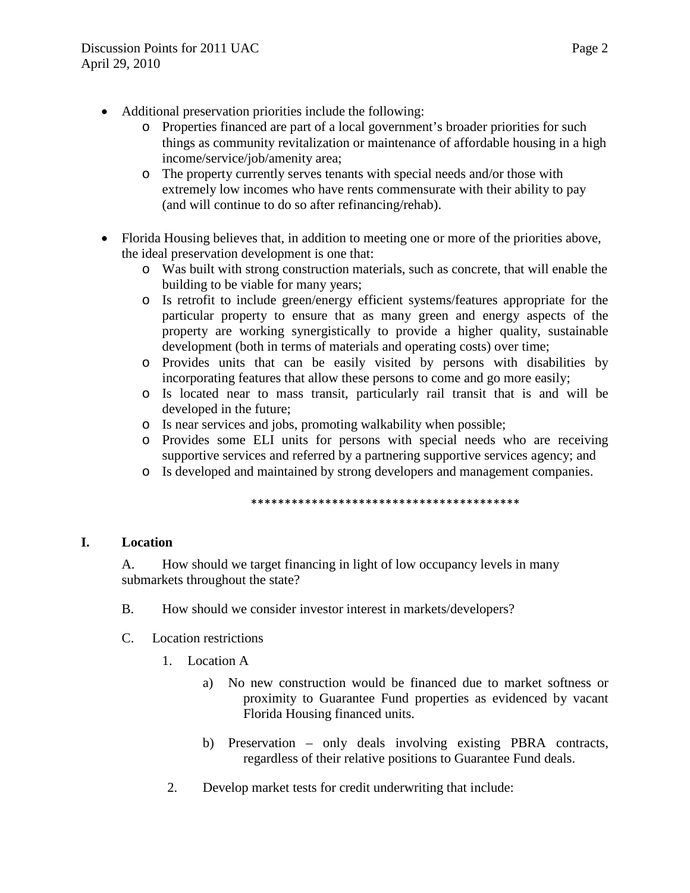- Additional preservation priorities include the following:
	- o Properties financed are part of a local government's broader priorities for such things as community revitalization or maintenance of affordable housing in a high income/service/job/amenity area;
	- o The property currently serves tenants with special needs and/or those with extremely low incomes who have rents commensurate with their ability to pay (and will continue to do so after refinancing/rehab).
- Florida Housing believes that, in addition to meeting one or more of the priorities above, the ideal preservation development is one that:
	- o Was built with strong construction materials, such as concrete, that will enable the building to be viable for many years;
	- o Is retrofit to include green/energy efficient systems/features appropriate for the particular property to ensure that as many green and energy aspects of the property are working synergistically to provide a higher quality, sustainable development (both in terms of materials and operating costs) over time;
	- o Provides units that can be easily visited by persons with disabilities by incorporating features that allow these persons to come and go more easily;
	- o Is located near to mass transit, particularly rail transit that is and will be developed in the future;
	- o Is near services and jobs, promoting walkability when possible;
	- o Provides some ELI units for persons with special needs who are receiving supportive services and referred by a partnering supportive services agency; and
	- o Is developed and maintained by strong developers and management companies.

\*\*\*\*\*\*\*\*\*\*\*\*\*\*\*\*\*\*\*\*\*\*\*\*\*\*\*\*\*\*\*\*\*\*\*\*\*\*\*\*

## **I. Location**

A. How should we target financing in light of low occupancy levels in many submarkets throughout the state?

- B. How should we consider investor interest in markets/developers?
- C. Location restrictions
	- 1. Location A
		- a) No new construction would be financed due to market softness or proximity to Guarantee Fund properties as evidenced by vacant Florida Housing financed units.
		- b) Preservation only deals involving existing PBRA contracts, regardless of their relative positions to Guarantee Fund deals.
	- 2. Develop market tests for credit underwriting that include: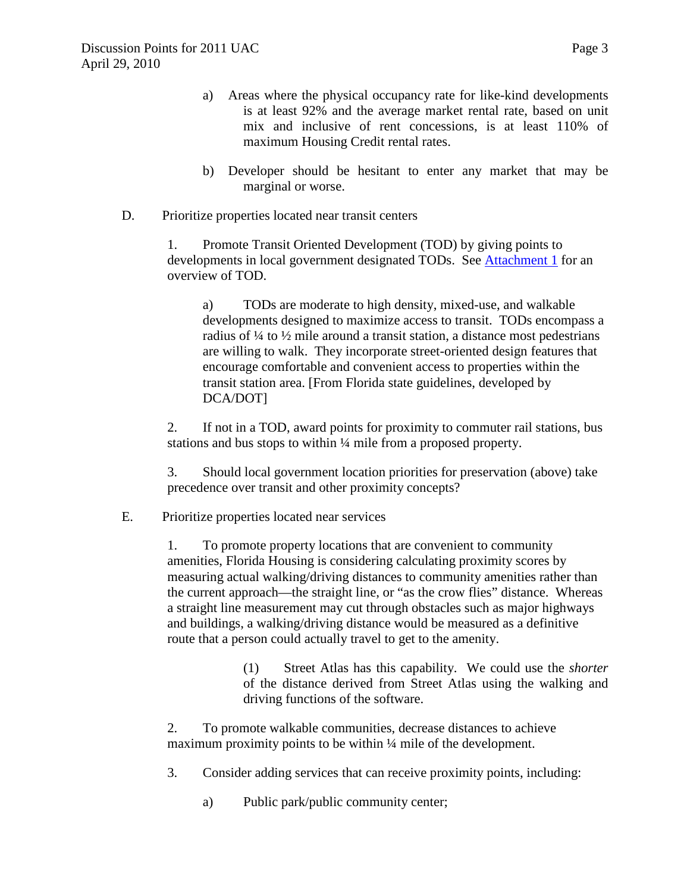- a) Areas where the physical occupancy rate for like-kind developments is at least 92% and the average market rental rate, based on unit mix and inclusive of rent concessions, is at least 110% of maximum Housing Credit rental rates.
- b) Developer should be hesitant to enter any market that may be marginal or worse.
- D. Prioritize properties located near transit centers

1. Promote Transit Oriented Development (TOD) by giving points to developments in local government designated TODs. See **Attachment 1** for an overview of TOD.

a) TODs are moderate to high density, mixed-use, and walkable developments designed to maximize access to transit. TODs encompass a radius of ¼ to ½ mile around a transit station, a distance most pedestrians are willing to walk. They incorporate street-oriented design features that encourage comfortable and convenient access to properties within the transit station area. [From Florida state guidelines, developed by DCA/DOT]

2. If not in a TOD, award points for proximity to commuter rail stations, bus stations and bus stops to within ¼ mile from a proposed property.

3. Should local government location priorities for preservation (above) take precedence over transit and other proximity concepts?

## E. Prioritize properties located near services

1. To promote property locations that are convenient to community amenities, Florida Housing is considering calculating proximity scores by measuring actual walking/driving distances to community amenities rather than the current approach—the straight line, or "as the crow flies" distance. Whereas a straight line measurement may cut through obstacles such as major highways and buildings, a walking/driving distance would be measured as a definitive route that a person could actually travel to get to the amenity.

> (1) Street Atlas has this capability. We could use the *shorter* of the distance derived from Street Atlas using the walking and driving functions of the software.

2. To promote walkable communities, decrease distances to achieve maximum proximity points to be within 1/4 mile of the development.

- 3. Consider adding services that can receive proximity points, including:
	- a) Public park/public community center;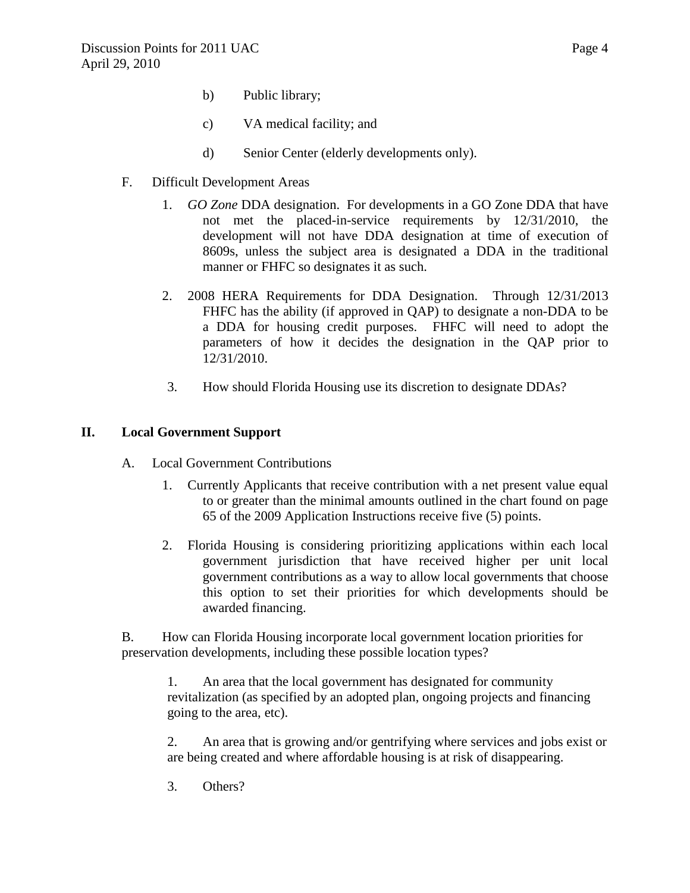- b) Public library;
- c) VA medical facility; and
- d) Senior Center (elderly developments only).
- F. Difficult Development Areas
	- 1. *GO Zone* DDA designation. For developments in a GO Zone DDA that have not met the placed-in-service requirements by 12/31/2010, the development will not have DDA designation at time of execution of 8609s, unless the subject area is designated a DDA in the traditional manner or FHFC so designates it as such.
	- 2. 2008 HERA Requirements for DDA Designation. Through 12/31/2013 FHFC has the ability (if approved in QAP) to designate a non-DDA to be a DDA for housing credit purposes. FHFC will need to adopt the parameters of how it decides the designation in the QAP prior to 12/31/2010.
	- 3. How should Florida Housing use its discretion to designate DDAs?

## **II. Local Government Support**

- A. Local Government Contributions
	- 1. Currently Applicants that receive contribution with a net present value equal to or greater than the minimal amounts outlined in the chart found on page 65 of the 2009 Application Instructions receive five (5) points.
	- 2. Florida Housing is considering prioritizing applications within each local government jurisdiction that have received higher per unit local government contributions as a way to allow local governments that choose this option to set their priorities for which developments should be awarded financing.

B. How can Florida Housing incorporate local government location priorities for preservation developments, including these possible location types?

1. An area that the local government has designated for community revitalization (as specified by an adopted plan, ongoing projects and financing going to the area, etc).

2. An area that is growing and/or gentrifying where services and jobs exist or are being created and where affordable housing is at risk of disappearing.

3. Others?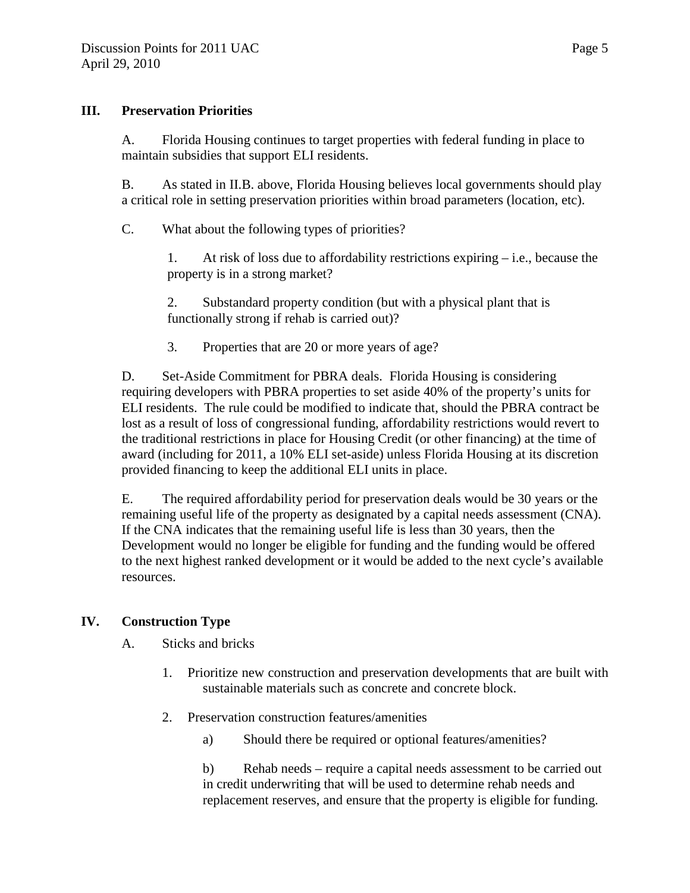#### **III. Preservation Priorities**

A. Florida Housing continues to target properties with federal funding in place to maintain subsidies that support ELI residents.

B. As stated in II.B. above, Florida Housing believes local governments should play a critical role in setting preservation priorities within broad parameters (location, etc).

C. What about the following types of priorities?

1. At risk of loss due to affordability restrictions expiring – i.e., because the property is in a strong market?

2. Substandard property condition (but with a physical plant that is functionally strong if rehab is carried out)?

3. Properties that are 20 or more years of age?

D. Set-Aside Commitment for PBRA deals. Florida Housing is considering requiring developers with PBRA properties to set aside 40% of the property's units for ELI residents. The rule could be modified to indicate that, should the PBRA contract be lost as a result of loss of congressional funding, affordability restrictions would revert to the traditional restrictions in place for Housing Credit (or other financing) at the time of award (including for 2011, a 10% ELI set-aside) unless Florida Housing at its discretion provided financing to keep the additional ELI units in place.

E. The required affordability period for preservation deals would be 30 years or the remaining useful life of the property as designated by a capital needs assessment (CNA). If the CNA indicates that the remaining useful life is less than 30 years, then the Development would no longer be eligible for funding and the funding would be offered to the next highest ranked development or it would be added to the next cycle's available resources.

## **IV. Construction Type**

A. Sticks and bricks

- 1. Prioritize new construction and preservation developments that are built with sustainable materials such as concrete and concrete block.
- 2. Preservation construction features/amenities
	- a) Should there be required or optional features/amenities?

b) Rehab needs – require a capital needs assessment to be carried out in credit underwriting that will be used to determine rehab needs and replacement reserves, and ensure that the property is eligible for funding.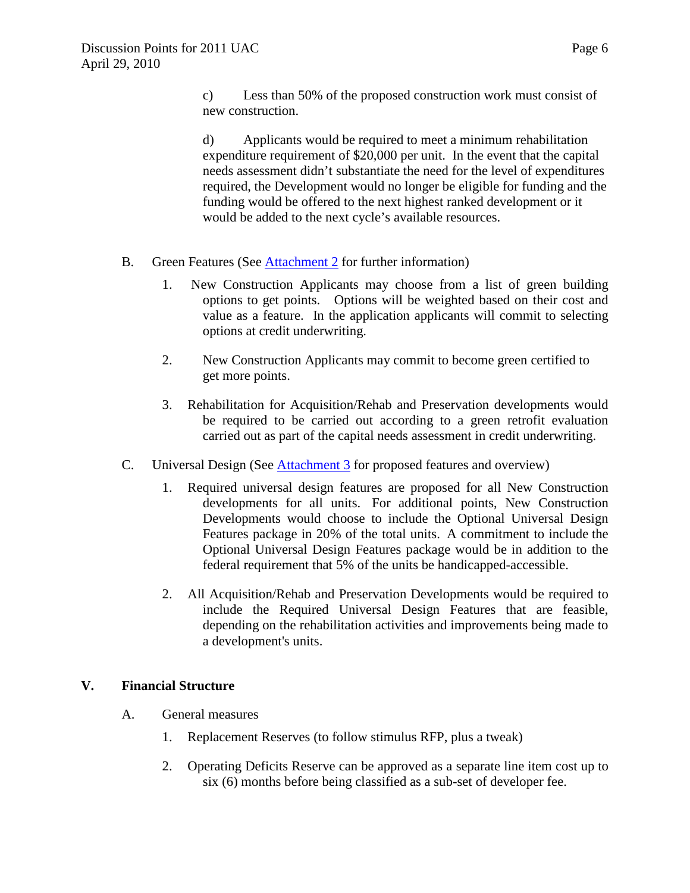c) Less than 50% of the proposed construction work must consist of new construction.

d) Applicants would be required to meet a minimum rehabilitation expenditure requirement of \$20,000 per unit. In the event that the capital needs assessment didn't substantiate the need for the level of expenditures required, the Development would no longer be eligible for funding and the funding would be offered to the next highest ranked development or it would be added to the next cycle's available resources.

- B. Green Features (See [Attachment 2](http://www.floridahousing.org/FH-ImageWebDocs/AboutUs/BoardOfDirectors/BoardPackages/Exhibits/2010/04-April%2030/Action/Attachment_2.pdf) for further information)
	- 1. New Construction Applicants may choose from a list of green building options to get points. Options will be weighted based on their cost and value as a feature. In the application applicants will commit to selecting options at credit underwriting.
	- 2. New Construction Applicants may commit to become green certified to get more points.
	- 3. Rehabilitation for Acquisition/Rehab and Preservation developments would be required to be carried out according to a green retrofit evaluation carried out as part of the capital needs assessment in credit underwriting.
- C. Universal Design (See [Attachment 3](http://www.floridahousing.org/FH-ImageWebDocs/AboutUs/BoardOfDirectors/BoardPackages/Exhibits/2010/04-April%2030/Action/Attachment_3.pdf) for proposed features and overview)
	- 1. Required universal design features are proposed for all New Construction developments for all units. For additional points, New Construction Developments would choose to include the Optional Universal Design Features package in 20% of the total units. A commitment to include the Optional Universal Design Features package would be in addition to the federal requirement that 5% of the units be handicapped-accessible.
	- 2. All Acquisition/Rehab and Preservation Developments would be required to include the Required Universal Design Features that are feasible, depending on the rehabilitation activities and improvements being made to a development's units.

## **V. Financial Structure**

- A. General measures
	- 1. Replacement Reserves (to follow stimulus RFP, plus a tweak)
	- 2. Operating Deficits Reserve can be approved as a separate line item cost up to six (6) months before being classified as a sub-set of developer fee.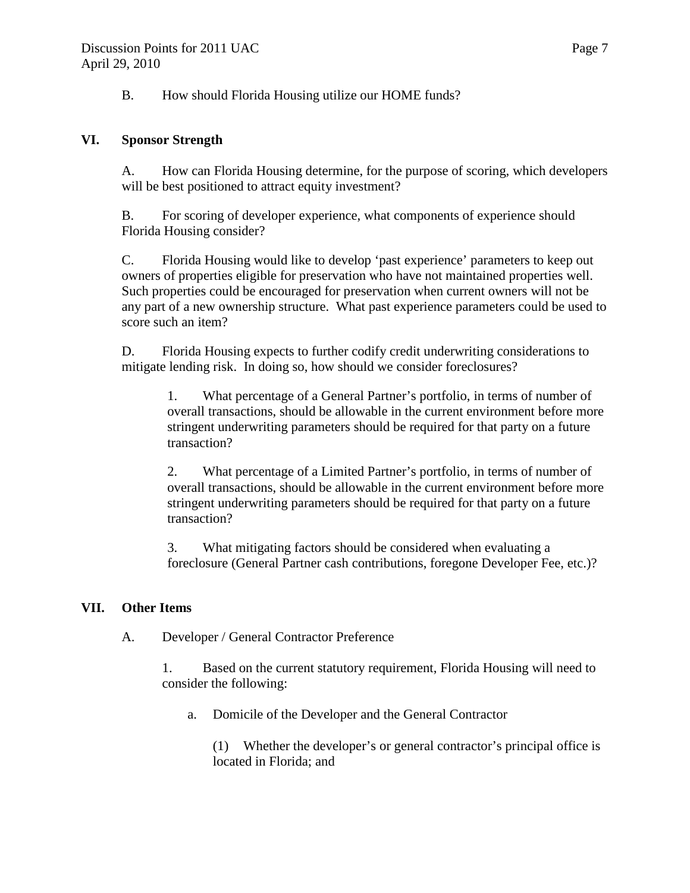B. How should Florida Housing utilize our HOME funds?

# **VI. Sponsor Strength**

A. How can Florida Housing determine, for the purpose of scoring, which developers will be best positioned to attract equity investment?

B. For scoring of developer experience, what components of experience should Florida Housing consider?

C. Florida Housing would like to develop 'past experience' parameters to keep out owners of properties eligible for preservation who have not maintained properties well. Such properties could be encouraged for preservation when current owners will not be any part of a new ownership structure. What past experience parameters could be used to score such an item?

D. Florida Housing expects to further codify credit underwriting considerations to mitigate lending risk. In doing so, how should we consider foreclosures?

1. What percentage of a General Partner's portfolio, in terms of number of overall transactions, should be allowable in the current environment before more stringent underwriting parameters should be required for that party on a future transaction?

2. What percentage of a Limited Partner's portfolio, in terms of number of overall transactions, should be allowable in the current environment before more stringent underwriting parameters should be required for that party on a future transaction?

3. What mitigating factors should be considered when evaluating a foreclosure (General Partner cash contributions, foregone Developer Fee, etc.)?

## **VII. Other Items**

A. Developer / General Contractor Preference

1. Based on the current statutory requirement, Florida Housing will need to consider the following:

a. Domicile of the Developer and the General Contractor

(1) Whether the developer's or general contractor's principal office is located in Florida; and